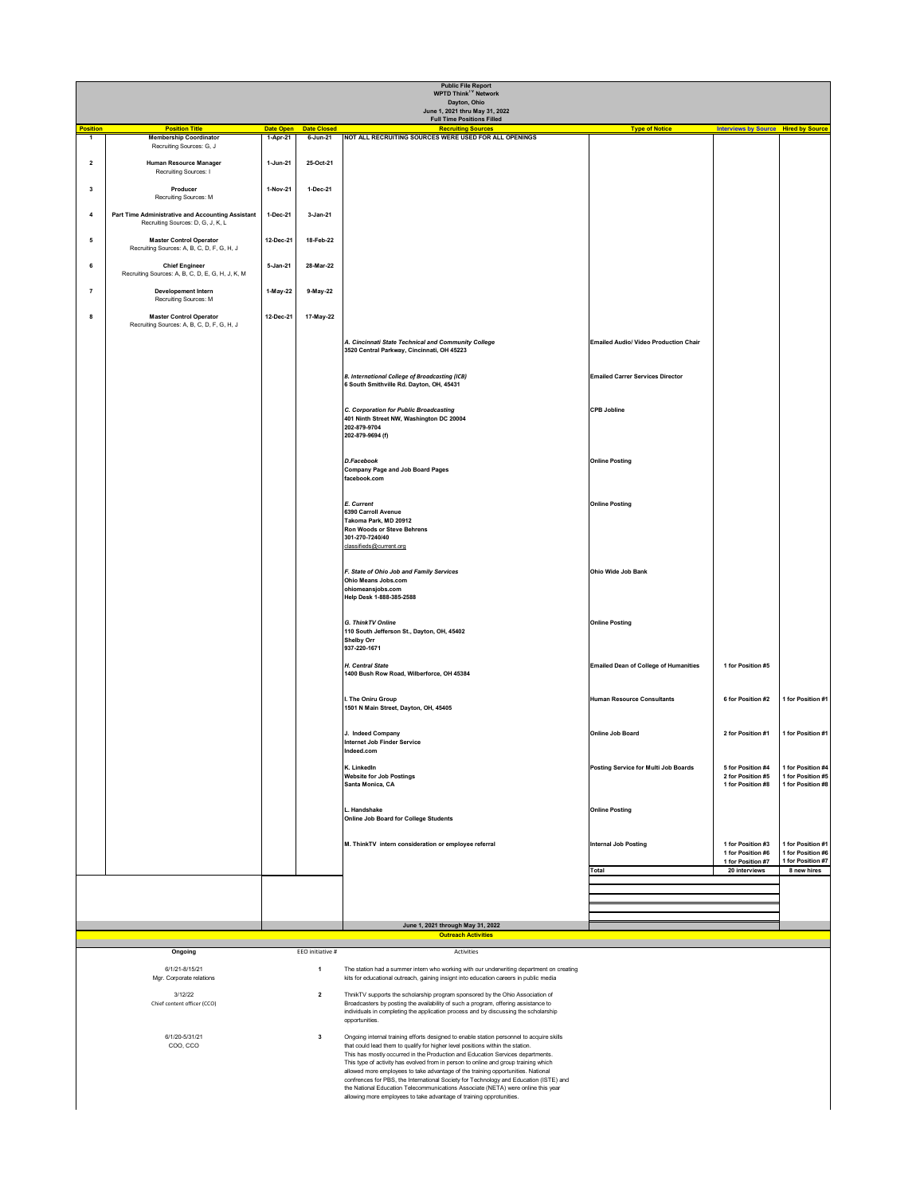| <b>Public File Report</b><br><b>WPTD Think<sup>TV</sup> Network</b><br>Dayton, Ohio |                                                                                        |                              |                                |                                                                                                                                                                                                                                                                              |                                              |                                                             |                                                             |  |  |
|-------------------------------------------------------------------------------------|----------------------------------------------------------------------------------------|------------------------------|--------------------------------|------------------------------------------------------------------------------------------------------------------------------------------------------------------------------------------------------------------------------------------------------------------------------|----------------------------------------------|-------------------------------------------------------------|-------------------------------------------------------------|--|--|
| June 1, 2021 thru May 31, 2022<br><b>Full Time Positions Filled</b>                 |                                                                                        |                              |                                |                                                                                                                                                                                                                                                                              |                                              |                                                             |                                                             |  |  |
| <b>Position</b><br>$\mathbf{1}$                                                     | <b>Position Title</b><br><b>Membership Coordinator</b>                                 | <b>Date Open</b><br>1-Apr-21 | <b>Date Closed</b><br>6-Jun-21 | <b>Recruiting Sources</b><br>NOT ALL RECRUITING SOURCES WERE USED FOR ALL OPENINGS                                                                                                                                                                                           | <b>Type of Notice</b>                        | <b>Interviews by Source Hired by Source</b>                 |                                                             |  |  |
| $\mathbf{2}$                                                                        | Recruiting Sources: G, J<br><b>Human Resource Manager</b><br>Recruiting Sources: I     | 1-Jun-21                     | 25-Oct-21                      |                                                                                                                                                                                                                                                                              |                                              |                                                             |                                                             |  |  |
| $\mathbf{3}$                                                                        | Producer<br>Recruiting Sources: M                                                      | 1-Nov-21                     | 1-Dec-21                       |                                                                                                                                                                                                                                                                              |                                              |                                                             |                                                             |  |  |
| 4                                                                                   | Part Time Administrative and Accounting Assistant<br>Recruiting Sources: D, G, J, K, L | 1-Dec-21                     | 3-Jan-21                       |                                                                                                                                                                                                                                                                              |                                              |                                                             |                                                             |  |  |
| $5\overline{)}$                                                                     | <b>Master Control Operator</b><br>Recruiting Sources: A, B, C, D, F, G, H, J           | 12-Dec-21                    | 18-Feb-22                      |                                                                                                                                                                                                                                                                              |                                              |                                                             |                                                             |  |  |
| 6                                                                                   | <b>Chief Engineer</b><br>Recruiting Sources: A, B, C, D, E, G, H, J, K, M              | 5-Jan-21                     | 28-Mar-22                      |                                                                                                                                                                                                                                                                              |                                              |                                                             |                                                             |  |  |
| $\overline{7}$                                                                      | <b>Developement Intern</b><br>Recruiting Sources: M                                    | 1-May-22                     | 9-May-22                       |                                                                                                                                                                                                                                                                              |                                              |                                                             |                                                             |  |  |
| 8                                                                                   | <b>Master Control Operator</b><br>Recruiting Sources: A, B, C, D, F, G, H, J           | 12-Dec-21                    | 17-May-22                      |                                                                                                                                                                                                                                                                              |                                              |                                                             |                                                             |  |  |
|                                                                                     |                                                                                        |                              |                                | A. Cincinnati State Technical and Community College<br>3520 Central Parkway, Cincinnati, OH 45223                                                                                                                                                                            | <b>Emailed Audio/ Video Production Chair</b> |                                                             |                                                             |  |  |
|                                                                                     |                                                                                        |                              |                                | <b>B. International College of Broadcasting (ICB)</b><br>6 South Smithville Rd. Dayton, OH, 45431                                                                                                                                                                            | <b>Emailed Carrer Services Director</b>      |                                                             |                                                             |  |  |
|                                                                                     |                                                                                        |                              |                                | C. Corporation for Public Broadcasting<br>401 Ninth Street NW, Washington DC 20004<br>202-879-9704<br>202-879-9694 (f)                                                                                                                                                       | <b>CPB Jobline</b>                           |                                                             |                                                             |  |  |
|                                                                                     |                                                                                        |                              |                                | <b>D.Facebook</b><br>Company Page and Job Board Pages<br>facebook.com                                                                                                                                                                                                        | <b>Online Posting</b>                        |                                                             |                                                             |  |  |
|                                                                                     |                                                                                        |                              |                                | <b>E. Current</b><br>6390 Carroll Avenue<br>Takoma Park, MD 20912<br><b>Ron Woods or Steve Behrens</b><br>301-270-7240/40<br>classifieds@current.org                                                                                                                         | <b>Online Posting</b>                        |                                                             |                                                             |  |  |
|                                                                                     |                                                                                        |                              |                                | F. State of Ohio Job and Family Services<br><b>Ohio Means Jobs.com</b><br>ohiomeansjobs.com<br>Help Desk 1-888-385-2588                                                                                                                                                      | <b>Ohio Wide Job Bank</b>                    |                                                             |                                                             |  |  |
|                                                                                     |                                                                                        |                              |                                | <b>G. ThinkTV Online</b><br>110 South Jefferson St., Dayton, OH, 45402<br><b>Shelby Orr</b><br>937-220-1671                                                                                                                                                                  | <b>Online Posting</b>                        |                                                             |                                                             |  |  |
|                                                                                     |                                                                                        |                              |                                | H. Central State<br>1400 Bush Row Road, Wilberforce, OH 45384                                                                                                                                                                                                                | <b>Emailed Dean of College of Humanities</b> | 1 for Position #5                                           |                                                             |  |  |
|                                                                                     |                                                                                        |                              |                                | I. The Oniru Group<br>1501 N Main Street, Dayton, OH, 45405                                                                                                                                                                                                                  | <b>Human Resource Consultants</b>            | 6 for Position #2                                           | 1 for Position #1                                           |  |  |
|                                                                                     |                                                                                        |                              |                                | J. Indeed Company<br>Internet Job Finder Service<br>Indeed.com                                                                                                                                                                                                               | <b>Online Job Board</b>                      | 2 for Position #1                                           | 1 for Position #1                                           |  |  |
|                                                                                     |                                                                                        |                              |                                | K. LinkedIn<br><b>Website for Job Postings</b><br>Santa Monica, CA                                                                                                                                                                                                           | Posting Service for Multi Job Boards         | 5 for Position #4<br>2 for Position #5<br>1 for Position #8 | 1 for Position #4<br>1 for Position #5<br>1 for Position #8 |  |  |
|                                                                                     |                                                                                        |                              |                                | Handshake<br><b>Online Job Board for College Students</b>                                                                                                                                                                                                                    | <b>Online Posting</b>                        |                                                             |                                                             |  |  |
|                                                                                     |                                                                                        |                              |                                | M. ThinkTV intern consideration or employee referral                                                                                                                                                                                                                         | <b>Internal Job Posting</b>                  | 1 for Position #3<br>1 for Position #6                      | 1 for Position #1<br>1 for Position #6                      |  |  |
|                                                                                     |                                                                                        |                              |                                |                                                                                                                                                                                                                                                                              | Total                                        | 1 for Position #7<br>20 interviews                          | 1 for Position #7<br>8 new hires                            |  |  |
|                                                                                     |                                                                                        |                              |                                |                                                                                                                                                                                                                                                                              |                                              |                                                             |                                                             |  |  |
|                                                                                     |                                                                                        |                              |                                | June 1, 2021 through May 31, 2022                                                                                                                                                                                                                                            |                                              |                                                             |                                                             |  |  |
| <b>Outreach Activities</b>                                                          |                                                                                        |                              |                                |                                                                                                                                                                                                                                                                              |                                              |                                                             |                                                             |  |  |
| EEO initiative #<br>Ongoing<br>Activities                                           |                                                                                        |                              |                                |                                                                                                                                                                                                                                                                              |                                              |                                                             |                                                             |  |  |
| 6/1/21-8/15/21<br>Mgr. Corporate relations<br>3/12/22<br>$\overline{2}$             |                                                                                        |                              |                                | The station had a summer intern who working with our underwriting department on creating<br>kits for educational outreach, gaining insignt into education careers in public media                                                                                            |                                              |                                                             |                                                             |  |  |
| Chief content officer (CCO)                                                         |                                                                                        |                              |                                | ThnikTV supports the scholarship program sponsored by the Ohio Association of<br>Broadcasters by posting the availability of such a program, offering assistance to<br>individuals in completing the application process and by discussing the scholarship<br>opportunities. |                                              |                                                             |                                                             |  |  |
| 6/1/20-5/31/21<br>$\mathbf{3}$<br>COO, CCO                                          |                                                                                        |                              |                                | Ongoing internal training efforts designed to enable station personnel to acquire skills<br>that could lead them to qualify for higher level positions within the station.<br>This has mostly occurred in the Production and Education Services departments.                 |                                              |                                                             |                                                             |  |  |

This type of activity has evolved from in person to online and group training which allowed more employees to take advantage of the training opportunities. National confrences for PBS, the International Society for Technology and Education (ISTE) and the National Education Telecommunications Associate (NETA) were online this year allowing more employees to take advantage of training opprotunities.